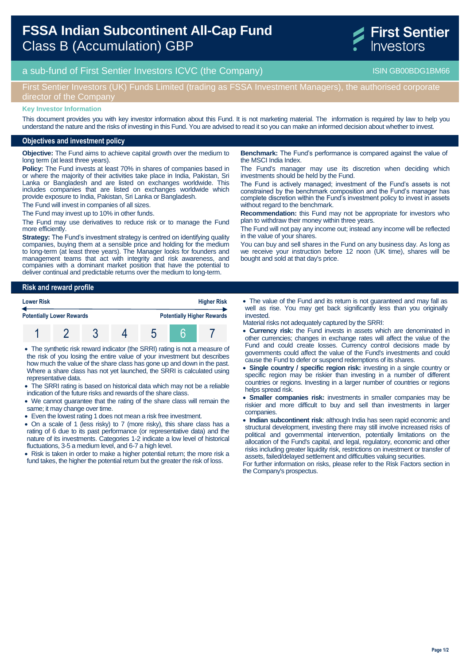# **FSSA Indian Subcontinent All-Cap Fund**  Class B (Accumulation) GBP



## a sub-fund of First Sentier Investors ICVC (the Company) and the Company ISIN GB00BDG1BM66

## First Sentier Investors (UK) Funds Limited (trading as FSSA Investment Managers), the authorised corporate director of the Company

#### **Key Investor Information**

This document provides you with key investor information about this Fund. It is not marketing material. The information is required by law to help you understand the nature and the risks of investing in this Fund. You are advised to read it so you can make an informed decision about whether to invest.

#### **Objectives and investment policy**

**Objective:** The Fund aims to achieve capital growth over the medium to long term (at least three years).

**Policy:** The Fund invests at least 70% in shares of companies based in or where the majority of their activities take place in India, Pakistan, Sri Lanka or Bangladesh and are listed on exchanges worldwide. This includes companies that are listed on exchanges worldwide which provide exposure to India, Pakistan, Sri Lanka or Bangladesh.

The Fund will invest in companies of all sizes.

The Fund may invest up to 10% in other funds.

The Fund may use derivatives to reduce risk or to manage the Fund more efficiently.

**Strategy:** The Fund's investment strategy is centred on identifying quality companies, buying them at a sensible price and holding for the medium to long-term (at least three years). The Manager looks for founders and management teams that act with integrity and risk awareness, and companies with a dominant market position that have the potential to deliver continual and predictable returns over the medium to long-term.

**Risk and reward profile**

| <b>Lower Risk</b> |                                  |  |  | <b>Higher Risk</b> |  |                                   |
|-------------------|----------------------------------|--|--|--------------------|--|-----------------------------------|
|                   | <b>Potentially Lower Rewards</b> |  |  |                    |  | <b>Potentially Higher Rewards</b> |
|                   |                                  |  |  |                    |  |                                   |

- The synthetic risk reward indicator (the SRRI) rating is not a measure of the risk of you losing the entire value of your investment but describes how much the value of the share class has gone up and down in the past. Where a share class has not yet launched, the SRRI is calculated using representative data.
- The SRRI rating is based on historical data which may not be a reliable indication of the future risks and rewards of the share class.
- We cannot guarantee that the rating of the share class will remain the same; it may change over time.
- Even the lowest rating 1 does not mean a risk free investment.
- On a scale of 1 (less risky) to 7 (more risky), this share class has a rating of 6 due to its past performance (or representative data) and the nature of its investments. Categories 1-2 indicate a low level of historical fluctuations, 3-5 a medium level, and 6-7 a high level.

• Risk is taken in order to make a higher potential return; the more risk a fund takes, the higher the potential return but the greater the risk of loss.

**Benchmark:** The Fund's performance is compared against the value of the MSCI India Index.

The Fund's manager may use its discretion when deciding which investments should be held by the Fund.

The Fund is actively managed; investment of the Fund's assets is not constrained by the benchmark composition and the Fund's manager has complete discretion within the Fund's investment policy to invest in assets without regard to the benchmark.

**Recommendation:** this Fund may not be appropriate for investors who plan to withdraw their money within three years.

The Fund will not pay any income out; instead any income will be reflected in the value of your shares.

You can buy and sell shares in the Fund on any business day. As long as we receive your instruction before 12 noon (UK time), shares will be bought and sold at that day's price.

 The value of the Fund and its return is not guaranteed and may fall as well as rise. You may get back significantly less than you originally invested.

Material risks not adequately captured by the SRRI:

- **Currency risk:** the Fund invests in assets which are denominated in other currencies; changes in exchange rates will affect the value of the Fund and could create losses. Currency control decisions made by governments could affect the value of the Fund's investments and could cause the Fund to defer or suspend redemptions of its shares.
- **Single country / specific region risk:** investing in a single country or specific region may be riskier than investing in a number of different countries or regions. Investing in a larger number of countries or regions helps spread risk.
- **Smaller companies risk:** investments in smaller companies may be riskier and more difficult to buy and sell than investments in larger companies.
- **Indian subcontinent risk**: although India has seen rapid economic and structural development, investing there may still involve increased risks of political and governmental intervention, potentially limitations on the allocation of the Fund's capital, and legal, regulatory, economic and other risks including greater liquidity risk, restrictions on investment or transfer of assets, failed/delayed settlement and difficulties valuing securities.

For further information on risks, please refer to the Risk Factors section in the Company's prospectus.